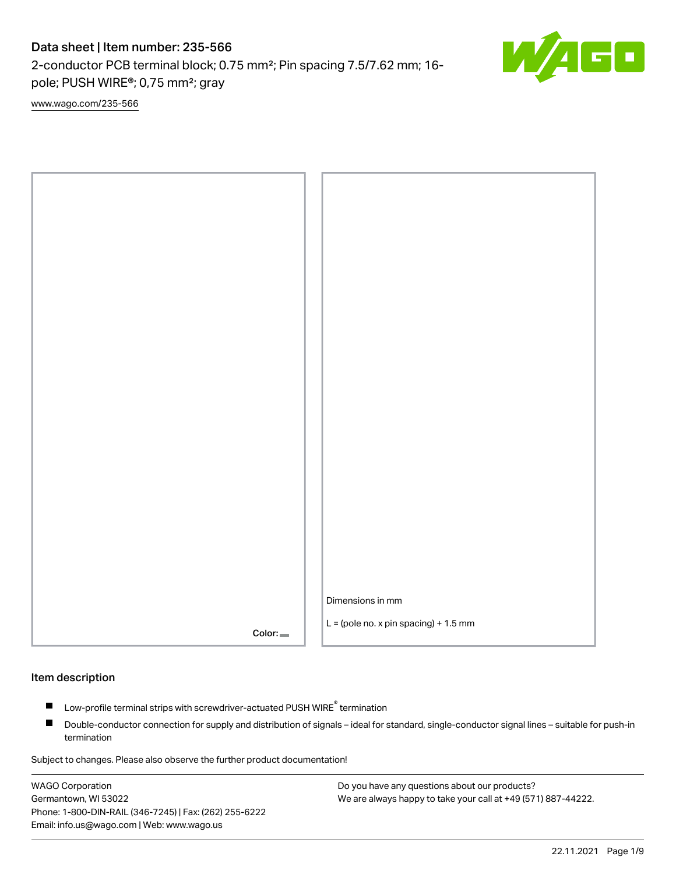## Data sheet | Item number: 235-566

2-conductor PCB terminal block; 0.75 mm²; Pin spacing 7.5/7.62 mm; 16 pole; PUSH WIRE®; 0,75 mm²; gray

[www.wago.com/235-566](http://www.wago.com/235-566)



#### Item description

- Low-profile terminal strips with screwdriver-actuated PUSH WIRE<sup>®</sup> termination П
- $\blacksquare$ Double-conductor connection for supply and distribution of signals – ideal for standard, single-conductor signal lines – suitable for push-in termination

Subject to changes. Please also observe the further product documentation!

WAGO Corporation Germantown, WI 53022 Phone: 1-800-DIN-RAIL (346-7245) | Fax: (262) 255-6222 Email: info.us@wago.com | Web: www.wago.us

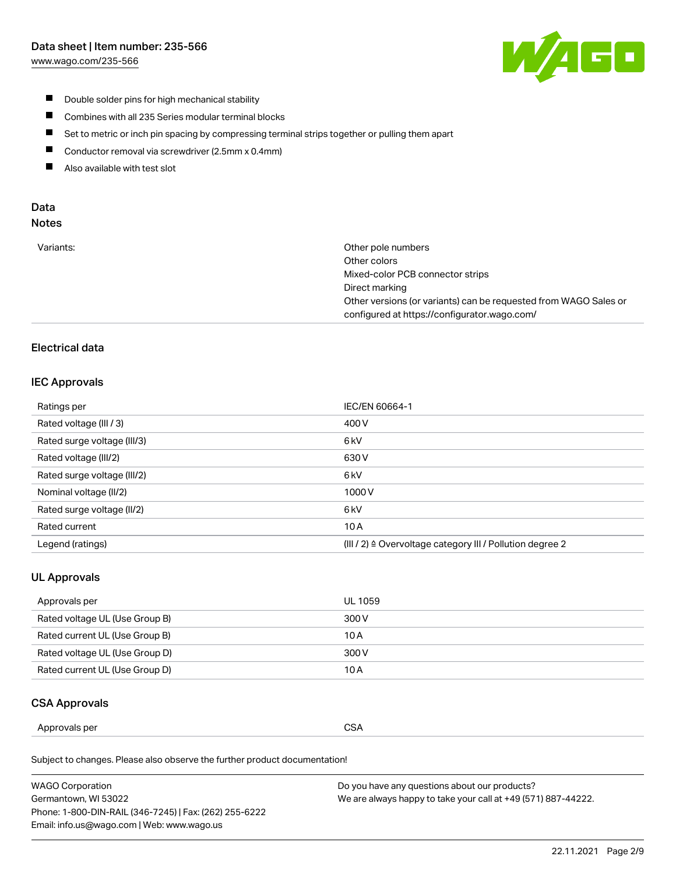## Data sheet | Item number: 235-566

[www.wago.com/235-566](http://www.wago.com/235-566)



- $\blacksquare$ Double solder pins for high mechanical stability
- $\blacksquare$ Combines with all 235 Series modular terminal blocks
- $\blacksquare$ Set to metric or inch pin spacing by compressing terminal strips together or pulling them apart
- $\blacksquare$ Conductor removal via screwdriver (2.5mm x 0.4mm)
- $\blacksquare$ Also available with test slot

# Data

| Variants:<br>configured at https://configurator.wago.com/ | Other pole numbers<br>Other colors<br>Mixed-color PCB connector strips<br>Direct marking<br>Other versions (or variants) can be requested from WAGO Sales or |
|-----------------------------------------------------------|--------------------------------------------------------------------------------------------------------------------------------------------------------------|
|-----------------------------------------------------------|--------------------------------------------------------------------------------------------------------------------------------------------------------------|

## Electrical data

#### IEC Approvals

| Ratings per                 | IEC/EN 60664-1                                                        |
|-----------------------------|-----------------------------------------------------------------------|
| Rated voltage (III / 3)     | 400 V                                                                 |
| Rated surge voltage (III/3) | 6 <sub>kV</sub>                                                       |
| Rated voltage (III/2)       | 630 V                                                                 |
| Rated surge voltage (III/2) | 6 <sub>kV</sub>                                                       |
| Nominal voltage (II/2)      | 1000V                                                                 |
| Rated surge voltage (II/2)  | 6 <sub>kV</sub>                                                       |
| Rated current               | 10A                                                                   |
| Legend (ratings)            | $(III / 2)$ $\triangle$ Overvoltage category III / Pollution degree 2 |

## UL Approvals

| Approvals per                  | UL 1059 |
|--------------------------------|---------|
| Rated voltage UL (Use Group B) | 300 V   |
| Rated current UL (Use Group B) | 10 A    |
| Rated voltage UL (Use Group D) | 300 V   |
| Rated current UL (Use Group D) | 10 A    |

## CSA Approvals

| Approvals per | $\sim$<br>. J<br>◡◡◠<br>$ -$ |
|---------------|------------------------------|
|---------------|------------------------------|

Subject to changes. Please also observe the further product documentation!

| <b>WAGO Corporation</b>                                | Do you have any questions about our products?                 |
|--------------------------------------------------------|---------------------------------------------------------------|
| Germantown, WI 53022                                   | We are always happy to take your call at +49 (571) 887-44222. |
| Phone: 1-800-DIN-RAIL (346-7245)   Fax: (262) 255-6222 |                                                               |
| Email: info.us@wago.com   Web: www.wago.us             |                                                               |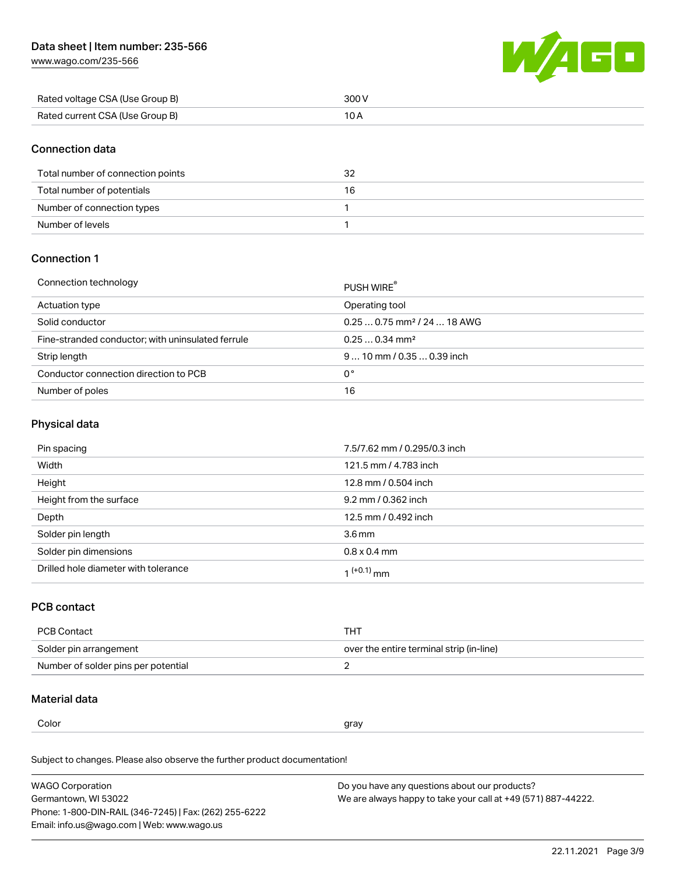

| Rated voltage CSA (Use Group B) | 300 V |
|---------------------------------|-------|
| Rated current CSA (Use Group B) |       |

## Connection data

| Total number of connection points | 32 |
|-----------------------------------|----|
| Total number of potentials        | 16 |
| Number of connection types        |    |
| Number of levels                  |    |

## Connection 1

#### Connection technology PUSH WIRE® PUSH WIRE®

|                                                   | <b>PUSH WIRE</b>                        |
|---------------------------------------------------|-----------------------------------------|
| Actuation type                                    | Operating tool                          |
| Solid conductor                                   | $0.250.75$ mm <sup>2</sup> / 24  18 AWG |
| Fine-stranded conductor; with uninsulated ferrule | $0.250.34$ mm <sup>2</sup>              |
| Strip length                                      | $910$ mm / 0.35  0.39 inch              |
| Conductor connection direction to PCB             | 0°                                      |
| Number of poles                                   | 16                                      |

#### Physical data

| Pin spacing                          | 7.5/7.62 mm / 0.295/0.3 inch |
|--------------------------------------|------------------------------|
| Width                                | 121.5 mm / 4.783 inch        |
| Height                               | 12.8 mm / 0.504 inch         |
| Height from the surface              | 9.2 mm / 0.362 inch          |
| Depth                                | 12.5 mm / 0.492 inch         |
| Solder pin length                    | 3.6 <sub>mm</sub>            |
| Solder pin dimensions                | $0.8 \times 0.4$ mm          |
| Drilled hole diameter with tolerance | 1 <sup>(+0.1)</sup> mm       |

## PCB contact

| PCB Contact                         | тнт                                      |
|-------------------------------------|------------------------------------------|
| Solder pin arrangement              | over the entire terminal strip (in-line) |
| Number of solder pins per potential |                                          |

#### Material data

 $\alpha$  gray

Subject to changes. Please also observe the further product documentation! Material group I

| <b>WAGO Corporation</b>                                | Do you have any questions about our products?                 |
|--------------------------------------------------------|---------------------------------------------------------------|
| Germantown, WI 53022                                   | We are always happy to take your call at +49 (571) 887-44222. |
| Phone: 1-800-DIN-RAIL (346-7245)   Fax: (262) 255-6222 |                                                               |
| Email: info.us@wago.com   Web: www.wago.us             |                                                               |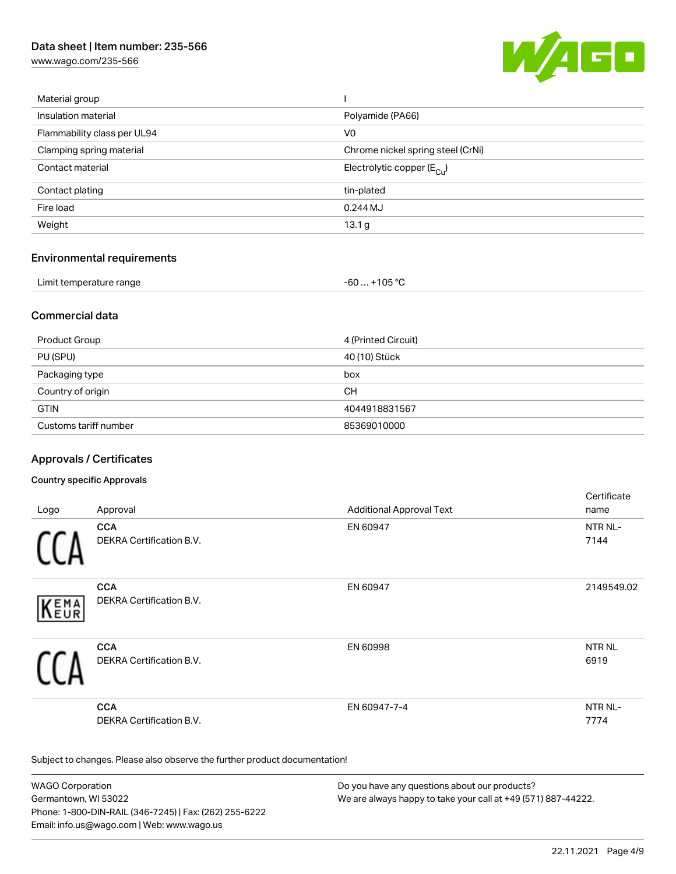## Data sheet | Item number: 235-566

[www.wago.com/235-566](http://www.wago.com/235-566)



| Material group              |                                       |
|-----------------------------|---------------------------------------|
| Insulation material         | Polyamide (PA66)                      |
| Flammability class per UL94 | V0                                    |
| Clamping spring material    | Chrome nickel spring steel (CrNi)     |
| Contact material            | Electrolytic copper $(E_{\text{Cl}})$ |
| Contact plating             | tin-plated                            |
| Fire load                   | 0.244 MJ                              |
| Weight                      | 13.1 g                                |
|                             |                                       |

#### Environmental requirements

| Limit temperature range | $. +105 °C$<br>-60 |  |
|-------------------------|--------------------|--|
|-------------------------|--------------------|--|

#### Commercial data

| Product Group         | 4 (Printed Circuit) |
|-----------------------|---------------------|
| PU (SPU)              | 40 (10) Stück       |
| Packaging type        | box                 |
| Country of origin     | CН                  |
| <b>GTIN</b>           | 4044918831567       |
| Customs tariff number | 85369010000         |

## Approvals / Certificates

#### Country specific Approvals

|      |                                               |                                 | Certificate     |
|------|-----------------------------------------------|---------------------------------|-----------------|
| Logo | Approval                                      | <b>Additional Approval Text</b> | name            |
|      | <b>CCA</b>                                    | EN 60947                        | NTR NL-         |
|      | <b>DEKRA Certification B.V.</b>               |                                 | 7144            |
| KEMA | <b>CCA</b><br>DEKRA Certification B.V.        | EN 60947                        | 2149549.02      |
|      | <b>CCA</b><br><b>DEKRA Certification B.V.</b> | EN 60998                        | NTR NL<br>6919  |
|      | <b>CCA</b><br><b>DEKRA Certification B.V.</b> | EN 60947-7-4                    | NTR NL-<br>7774 |

Subject to changes. Please also observe the further product documentation!

WAGO Corporation Germantown, WI 53022 Phone: 1-800-DIN-RAIL (346-7245) | Fax: (262) 255-6222 Email: info.us@wago.com | Web: www.wago.us Do you have any questions about our products? We are always happy to take your call at +49 (571) 887-44222.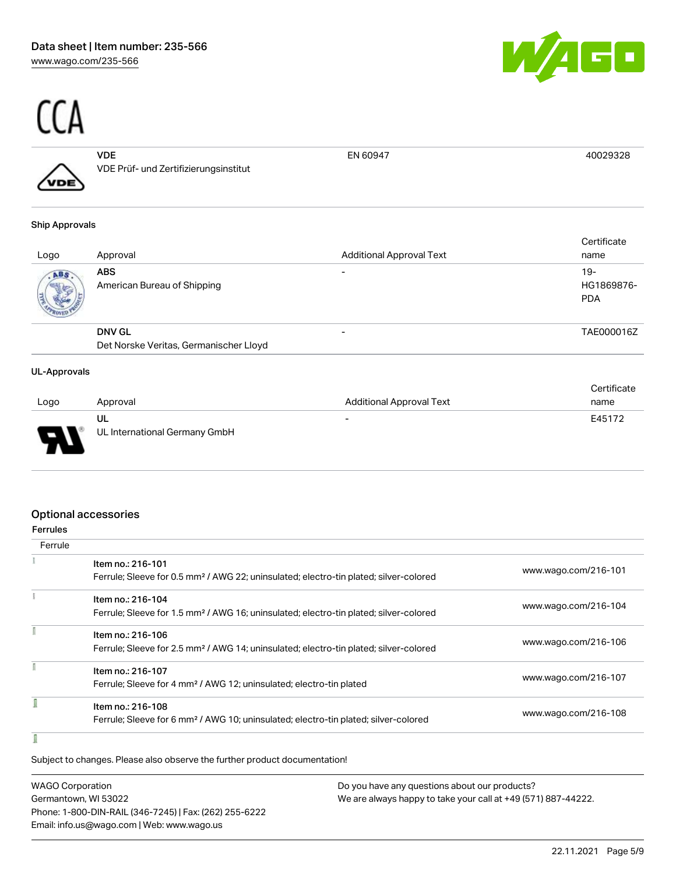

# $\frac{C(A)}{A}$

|   | VDE                                   | FN 60947 |  |
|---|---------------------------------------|----------|--|
| ∕ | VDE Prüf- und Zertifizierungsinstitut |          |  |
|   |                                       |          |  |

#### Ship Approvals

| Logo | Approval                               | <b>Additional Approval Text</b> | Certificate<br>name               |
|------|----------------------------------------|---------------------------------|-----------------------------------|
| ABS. | ABS<br>American Bureau of Shipping     | $\overline{\phantom{0}}$        | $19-$<br>HG1869876-<br><b>PDA</b> |
|      | <b>DNV GL</b>                          | -                               | TAE000016Z                        |
|      | Det Norske Veritas, Germanischer Lloyd |                                 |                                   |

#### UL-Approvals

|                               |                               |                          | Certificate |
|-------------------------------|-------------------------------|--------------------------|-------------|
| Logo                          | Approval                      | Additional Approval Text | name        |
|                               | UL                            | $\overline{\phantom{a}}$ | E45172      |
| J<br>$\overline{\phantom{a}}$ | UL International Germany GmbH |                          |             |

#### Optional accessories

| errule |
|--------|
|--------|

| Ferrule |                                                                                                                        |                      |
|---------|------------------------------------------------------------------------------------------------------------------------|----------------------|
|         | Item no.: 216-101<br>Ferrule; Sleeve for 0.5 mm <sup>2</sup> / AWG 22; uninsulated; electro-tin plated; silver-colored | www.wago.com/216-101 |
|         |                                                                                                                        |                      |
|         | Item no.: 216-104                                                                                                      |                      |
|         | Ferrule; Sleeve for 1.5 mm <sup>2</sup> / AWG 16; uninsulated; electro-tin plated; silver-colored                      | www.wago.com/216-104 |
|         | Item no.: 216-106                                                                                                      |                      |
|         | Ferrule; Sleeve for 2.5 mm <sup>2</sup> / AWG 14; uninsulated; electro-tin plated; silver-colored                      | www.wago.com/216-106 |
|         | Item no.: 216-107                                                                                                      |                      |
|         | Ferrule; Sleeve for 4 mm <sup>2</sup> / AWG 12; uninsulated; electro-tin plated                                        | www.wago.com/216-107 |
|         | Item no.: 216-108                                                                                                      |                      |
|         | Ferrule; Sleeve for 6 mm <sup>2</sup> / AWG 10; uninsulated; electro-tin plated; silver-colored                        | www.wago.com/216-108 |

# Subject to changes. Please also observe the further product documentation!

| <b>WAGO Corporation</b>                                | Do you have any questions about our products?                 |
|--------------------------------------------------------|---------------------------------------------------------------|
| Germantown, WI 53022                                   | We are always happy to take your call at +49 (571) 887-44222. |
| Phone: 1-800-DIN-RAIL (346-7245)   Fax: (262) 255-6222 |                                                               |
| Email: info.us@wago.com   Web: www.wago.us             |                                                               |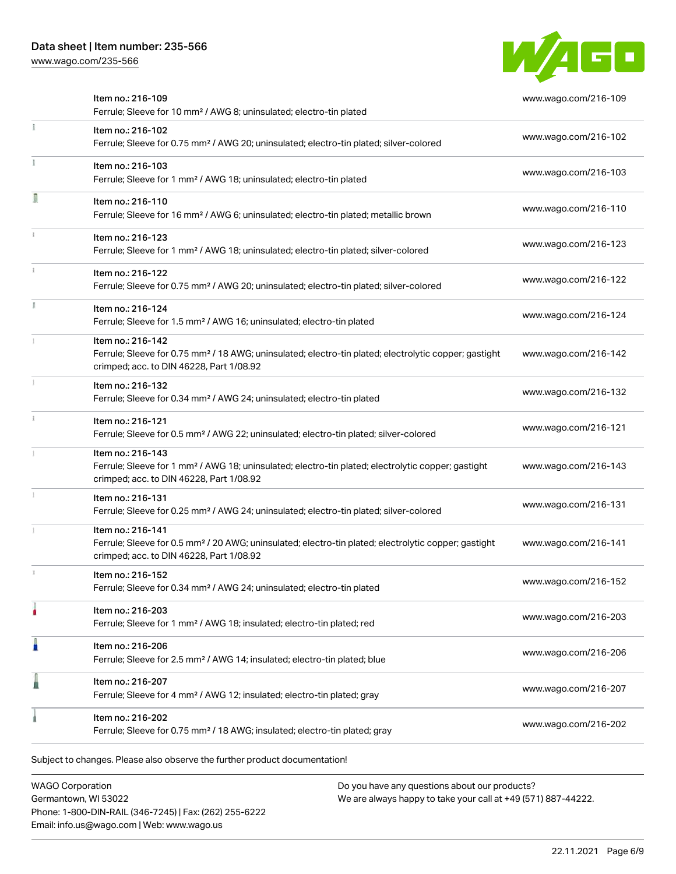

| Ferrule; Sleeve for 0.75 mm <sup>2</sup> / 18 AWG; insulated; electro-tin plated; gray                                                                                             |                      |
|------------------------------------------------------------------------------------------------------------------------------------------------------------------------------------|----------------------|
| Item no.: 216-202                                                                                                                                                                  | www.wago.com/216-202 |
| Item no.: 216-207<br>Ferrule; Sleeve for 4 mm <sup>2</sup> / AWG 12; insulated; electro-tin plated; gray                                                                           | www.wago.com/216-207 |
| Item no.: 216-206<br>Ferrule; Sleeve for 2.5 mm <sup>2</sup> / AWG 14; insulated; electro-tin plated; blue                                                                         | www.wago.com/216-206 |
| Item no.: 216-203<br>Ferrule; Sleeve for 1 mm <sup>2</sup> / AWG 18; insulated; electro-tin plated; red                                                                            | www.wago.com/216-203 |
| Item no.: 216-152<br>Ferrule; Sleeve for 0.34 mm <sup>2</sup> / AWG 24; uninsulated; electro-tin plated                                                                            | www.wago.com/216-152 |
| Item no.: 216-141<br>Ferrule; Sleeve for 0.5 mm <sup>2</sup> / 20 AWG; uninsulated; electro-tin plated; electrolytic copper; gastight<br>crimped; acc. to DIN 46228, Part 1/08.92  | www.wago.com/216-141 |
| Item no.: 216-131<br>Ferrule; Sleeve for 0.25 mm <sup>2</sup> / AWG 24; uninsulated; electro-tin plated; silver-colored                                                            | www.wago.com/216-131 |
| Item no.: 216-143<br>Ferrule; Sleeve for 1 mm <sup>2</sup> / AWG 18; uninsulated; electro-tin plated; electrolytic copper; gastight<br>crimped; acc. to DIN 46228, Part 1/08.92    | www.wago.com/216-143 |
| Item no.: 216-121<br>Ferrule; Sleeve for 0.5 mm <sup>2</sup> / AWG 22; uninsulated; electro-tin plated; silver-colored                                                             | www.wago.com/216-121 |
| Item no.: 216-132<br>Ferrule; Sleeve for 0.34 mm <sup>2</sup> / AWG 24; uninsulated; electro-tin plated                                                                            | www.wago.com/216-132 |
| Item no.: 216-142<br>Ferrule; Sleeve for 0.75 mm <sup>2</sup> / 18 AWG; uninsulated; electro-tin plated; electrolytic copper; gastight<br>crimped; acc. to DIN 46228, Part 1/08.92 | www.wago.com/216-142 |
| Item no.: 216-124<br>Ferrule; Sleeve for 1.5 mm <sup>2</sup> / AWG 16; uninsulated; electro-tin plated                                                                             | www.wago.com/216-124 |
| Item no.: 216-122<br>Ferrule; Sleeve for 0.75 mm <sup>2</sup> / AWG 20; uninsulated; electro-tin plated; silver-colored                                                            | www.wago.com/216-122 |
| Item no.: 216-123<br>Ferrule; Sleeve for 1 mm <sup>2</sup> / AWG 18; uninsulated; electro-tin plated; silver-colored                                                               | www.wago.com/216-123 |
| Item no.: 216-110<br>Ferrule; Sleeve for 16 mm <sup>2</sup> / AWG 6; uninsulated; electro-tin plated; metallic brown                                                               | www.wago.com/216-110 |
| Item no.: 216-103<br>Ferrule; Sleeve for 1 mm <sup>2</sup> / AWG 18; uninsulated; electro-tin plated                                                                               | www.wago.com/216-103 |
| Item no.: 216-102<br>Ferrule; Sleeve for 0.75 mm <sup>2</sup> / AWG 20; uninsulated; electro-tin plated; silver-colored                                                            | www.wago.com/216-102 |
| Item no.: 216-109<br>Ferrule; Sleeve for 10 mm <sup>2</sup> / AWG 8; uninsulated; electro-tin plated                                                                               | www.wago.com/216-109 |

WAGO Corporation Germantown, WI 53022 Phone: 1-800-DIN-RAIL (346-7245) | Fax: (262) 255-6222 Email: info.us@wago.com | Web: www.wago.us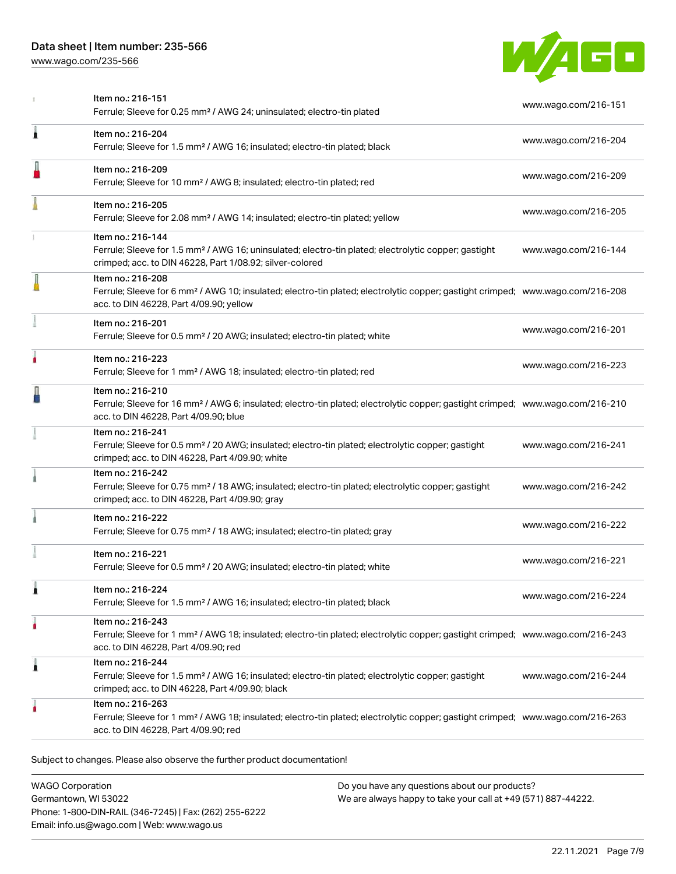

|   | Item no.: 216-151<br>Ferrule; Sleeve for 0.25 mm <sup>2</sup> / AWG 24; uninsulated; electro-tin plated                                                                                                    | www.wago.com/216-151 |
|---|------------------------------------------------------------------------------------------------------------------------------------------------------------------------------------------------------------|----------------------|
| Â | Item no.: 216-204<br>Ferrule; Sleeve for 1.5 mm <sup>2</sup> / AWG 16; insulated; electro-tin plated; black                                                                                                | www.wago.com/216-204 |
|   | Item no.: 216-209<br>Ferrule; Sleeve for 10 mm <sup>2</sup> / AWG 8; insulated; electro-tin plated; red                                                                                                    | www.wago.com/216-209 |
|   | Item no.: 216-205<br>Ferrule; Sleeve for 2.08 mm <sup>2</sup> / AWG 14; insulated; electro-tin plated; yellow                                                                                              | www.wago.com/216-205 |
|   | Item no.: 216-144<br>Ferrule; Sleeve for 1.5 mm <sup>2</sup> / AWG 16; uninsulated; electro-tin plated; electrolytic copper; gastight<br>crimped; acc. to DIN 46228, Part 1/08.92; silver-colored          | www.wago.com/216-144 |
|   | Item no.: 216-208<br>Ferrule; Sleeve for 6 mm <sup>2</sup> / AWG 10; insulated; electro-tin plated; electrolytic copper; gastight crimped; www.wago.com/216-208<br>acc. to DIN 46228, Part 4/09.90; yellow |                      |
|   | Item no.: 216-201<br>Ferrule; Sleeve for 0.5 mm <sup>2</sup> / 20 AWG; insulated; electro-tin plated; white                                                                                                | www.wago.com/216-201 |
|   | Item no.: 216-223<br>Ferrule; Sleeve for 1 mm <sup>2</sup> / AWG 18; insulated; electro-tin plated; red                                                                                                    | www.wago.com/216-223 |
|   | Item no.: 216-210<br>Ferrule; Sleeve for 16 mm <sup>2</sup> / AWG 6; insulated; electro-tin plated; electrolytic copper; gastight crimped; www.wago.com/216-210<br>acc. to DIN 46228, Part 4/09.90; blue   |                      |
|   | Item no.: 216-241<br>Ferrule; Sleeve for 0.5 mm <sup>2</sup> / 20 AWG; insulated; electro-tin plated; electrolytic copper; gastight<br>crimped; acc. to DIN 46228, Part 4/09.90; white                     | www.wago.com/216-241 |
|   | Item no.: 216-242<br>Ferrule; Sleeve for 0.75 mm <sup>2</sup> / 18 AWG; insulated; electro-tin plated; electrolytic copper; gastight<br>crimped; acc. to DIN 46228, Part 4/09.90; gray                     | www.wago.com/216-242 |
|   | Item no.: 216-222<br>Ferrule; Sleeve for 0.75 mm <sup>2</sup> / 18 AWG; insulated; electro-tin plated; gray                                                                                                | www.wago.com/216-222 |
|   | Item no.: 216-221<br>Ferrule; Sleeve for 0.5 mm <sup>2</sup> / 20 AWG; insulated; electro-tin plated; white                                                                                                | www.wago.com/216-221 |
|   | Item no.: 216-224<br>Ferrule; Sleeve for 1.5 mm <sup>2</sup> / AWG 16; insulated; electro-tin plated; black                                                                                                | www.wago.com/216-224 |
|   | Item no.: 216-243<br>Ferrule; Sleeve for 1 mm <sup>2</sup> / AWG 18; insulated; electro-tin plated; electrolytic copper; gastight crimped; www.wago.com/216-243<br>acc. to DIN 46228, Part 4/09.90; red    |                      |
| Â | Item no.: 216-244<br>Ferrule; Sleeve for 1.5 mm <sup>2</sup> / AWG 16; insulated; electro-tin plated; electrolytic copper; gastight<br>crimped; acc. to DIN 46228, Part 4/09.90; black                     | www.wago.com/216-244 |
|   | Item no.: 216-263<br>Ferrule; Sleeve for 1 mm <sup>2</sup> / AWG 18; insulated; electro-tin plated; electrolytic copper; gastight crimped; www.wago.com/216-263<br>acc. to DIN 46228, Part 4/09.90; red    |                      |

Subject to changes. Please also observe the further product documentation!

WAGO Corporation Germantown, WI 53022 Phone: 1-800-DIN-RAIL (346-7245) | Fax: (262) 255-6222 Email: info.us@wago.com | Web: www.wago.us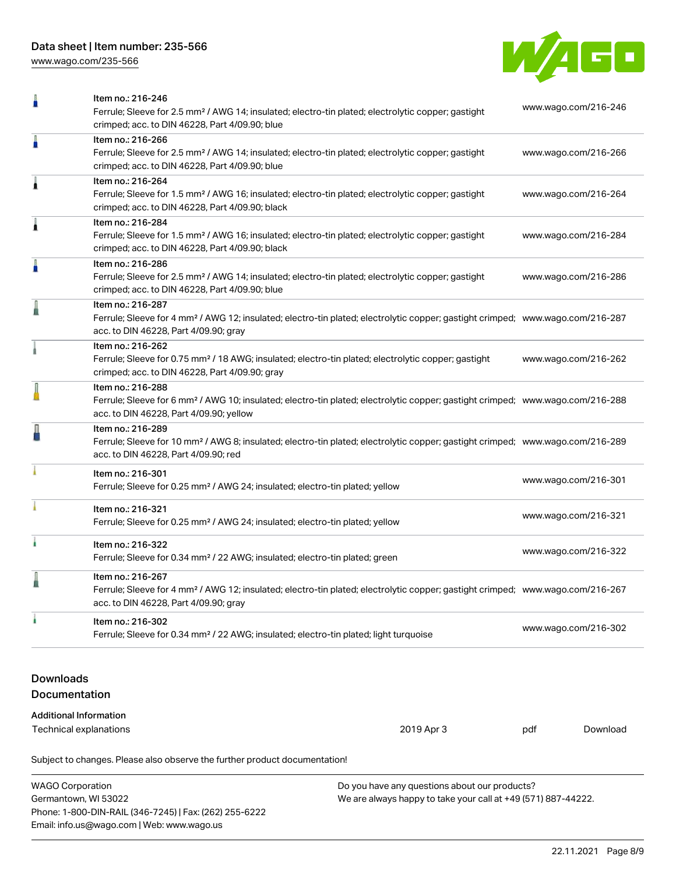

| Ω                                                                            | Item no.: 216-246<br>Ferrule; Sleeve for 2.5 mm <sup>2</sup> / AWG 14; insulated; electro-tin plated; electrolytic copper; gastight<br>crimped; acc. to DIN 46228, Part 4/09.90; blue                      |                      | www.wago.com/216-246 |  |  |
|------------------------------------------------------------------------------|------------------------------------------------------------------------------------------------------------------------------------------------------------------------------------------------------------|----------------------|----------------------|--|--|
| Ä                                                                            | Item no.: 216-266<br>Ferrule; Sleeve for 2.5 mm <sup>2</sup> / AWG 14; insulated; electro-tin plated; electrolytic copper; gastight<br>crimped; acc. to DIN 46228, Part 4/09.90; blue                      |                      | www.wago.com/216-266 |  |  |
| Â                                                                            | Item no.: 216-264<br>Ferrule; Sleeve for 1.5 mm <sup>2</sup> / AWG 16; insulated; electro-tin plated; electrolytic copper; gastight<br>crimped; acc. to DIN 46228, Part 4/09.90; black                     | www.wago.com/216-264 |                      |  |  |
| Â                                                                            | Item no.: 216-284<br>Ferrule; Sleeve for 1.5 mm <sup>2</sup> / AWG 16; insulated; electro-tin plated; electrolytic copper; gastight<br>crimped; acc. to DIN 46228, Part 4/09.90; black                     |                      | www.wago.com/216-284 |  |  |
| Å                                                                            | Item no.: 216-286<br>Ferrule; Sleeve for 2.5 mm <sup>2</sup> / AWG 14; insulated; electro-tin plated; electrolytic copper; gastight<br>crimped; acc. to DIN 46228, Part 4/09.90; blue                      |                      | www.wago.com/216-286 |  |  |
|                                                                              | Item no.: 216-287<br>Ferrule; Sleeve for 4 mm <sup>2</sup> / AWG 12; insulated; electro-tin plated; electrolytic copper; gastight crimped; www.wago.com/216-287<br>acc. to DIN 46228, Part 4/09.90; gray   |                      |                      |  |  |
|                                                                              | Item no.: 216-262<br>Ferrule; Sleeve for 0.75 mm <sup>2</sup> / 18 AWG; insulated; electro-tin plated; electrolytic copper; gastight<br>crimped; acc. to DIN 46228, Part 4/09.90; gray                     |                      | www.wago.com/216-262 |  |  |
|                                                                              | Item no.: 216-288<br>Ferrule; Sleeve for 6 mm <sup>2</sup> / AWG 10; insulated; electro-tin plated; electrolytic copper; gastight crimped; www.wago.com/216-288<br>acc. to DIN 46228, Part 4/09.90; yellow |                      |                      |  |  |
|                                                                              | Item no.: 216-289<br>Ferrule; Sleeve for 10 mm <sup>2</sup> / AWG 8; insulated; electro-tin plated; electrolytic copper; gastight crimped; www.wago.com/216-289<br>acc. to DIN 46228, Part 4/09.90; red    |                      |                      |  |  |
|                                                                              | Item no.: 216-301<br>Ferrule; Sleeve for 0.25 mm <sup>2</sup> / AWG 24; insulated; electro-tin plated; yellow                                                                                              |                      | www.wago.com/216-301 |  |  |
|                                                                              | Item no.: 216-321<br>Ferrule; Sleeve for 0.25 mm <sup>2</sup> / AWG 24; insulated; electro-tin plated; yellow                                                                                              | www.wago.com/216-321 |                      |  |  |
| ì.                                                                           | Item no.: 216-322<br>Ferrule; Sleeve for 0.34 mm <sup>2</sup> / 22 AWG; insulated; electro-tin plated; green                                                                                               |                      | www.wago.com/216-322 |  |  |
|                                                                              | Item no.: 216-267<br>Ferrule; Sleeve for 4 mm <sup>2</sup> / AWG 12; insulated; electro-tin plated; electrolytic copper; gastight crimped; www.wago.com/216-267<br>acc. to DIN 46228, Part 4/09.90; gray   |                      |                      |  |  |
| à.                                                                           | Item no.: 216-302<br>Ferrule; Sleeve for 0.34 mm <sup>2</sup> / 22 AWG; insulated; electro-tin plated; light turquoise                                                                                     |                      | www.wago.com/216-302 |  |  |
| <b>Downloads</b><br>Documentation                                            |                                                                                                                                                                                                            |                      |                      |  |  |
| <b>Additional Information</b><br>2019 Apr 3<br>Technical explanations<br>pdf |                                                                                                                                                                                                            |                      | Download             |  |  |
| Subject to changes. Please also observe the further product documentation!   |                                                                                                                                                                                                            |                      |                      |  |  |

| WAGO Corporation                                       | Do you have any questions about our products?                 |  |
|--------------------------------------------------------|---------------------------------------------------------------|--|
| Germantown, WI 53022                                   | We are always happy to take your call at +49 (571) 887-44222. |  |
| Phone: 1-800-DIN-RAIL (346-7245)   Fax: (262) 255-6222 |                                                               |  |
| Email: info.us@wago.com   Web: www.wago.us             |                                                               |  |